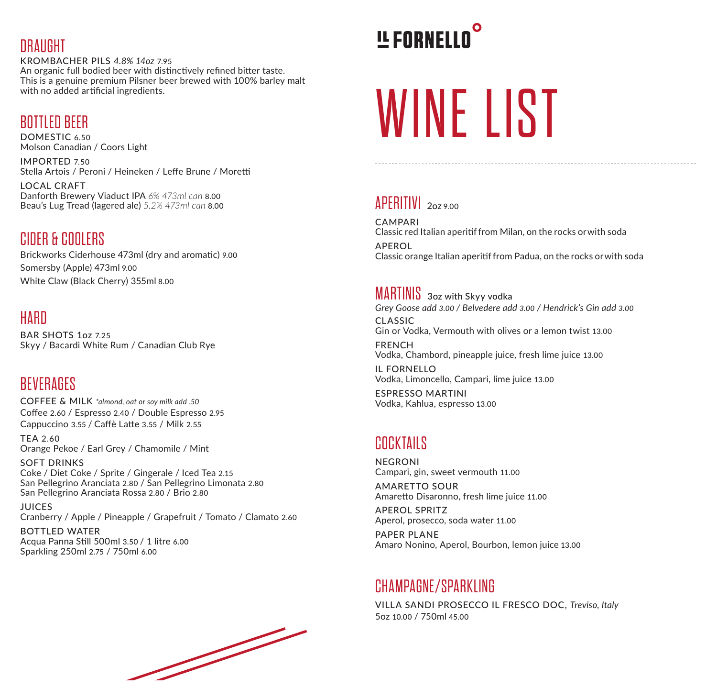#### **DRAUGHT**

KROMBACHER PILS *4.8% 14oz* 7.95 An organic full bodied beer with distinctively refined bitter taste. This is a genuine premium Pilsner beer brewed with 100% barley malt with no added artificial ingredients.

### BOTTLED BEER

DOMESTIC 6.50 Molson Canadian / Coors Light

IMPORTED 7.50 Stella Artois / Peroni / Heineken / Leffe Brune / Moretti

LOCAL CRAFT Danforth Brewery Viaduct IPA *6% 473ml can* 8.00 Beau's Lug Tread (lagered ale) *5.2% 473ml can* 8.00

# CIDER & COOLERS

Brickworks Ciderhouse 473ml (dry and aromatic) 9.00 Somersby (Apple) 473ml 9.00 White Claw (Black Cherry) 355ml 8.00

# **HARD**

BAR SHOTS 1oz 7.25 Skyy / Bacardi White Rum / Canadian Club Rye

# **BEVERAGES**

COFFEE & MILK *\*almond, oat or soy milk add .50* Coffee 2.60 / Espresso 2.40 / Double Espresso 2.95 Cappuccino 3.55 / Caffè Latte 3.55 / Milk 2.55

TEA 2.60 Orange Pekoe / Earl Grey / Chamomile / Mint

SOFT DRINKS Coke / Diet Coke / Sprite / Gingerale / Iced Tea 2.15 San Pellegrino Aranciata 2.80 / San Pellegrino Limonata 2.80 San Pellegrino Aranciata Rossa 2.80 / Brio 2.80

JUICES Cranberry / Apple / Pineapple / Grapefruit / Tomato / Clamato 2.60

BOTTLED WATER Acqua Panna Still 500ml 3.50 / 1 litre 6.00 Sparkling 250ml 2.75 / 750ml 6.00

# **LE FORNELLO**

# WINE LIST

# APERITIVI 2oz 9.00

CAMPARI Classic red Italian aperitif from Milan, on the rocks or with soda APEROL Classic orange Italian aperitif from Padua, on the rocks or with soda

#### MARTINIS 3oz with Skyy vodka

CLASSIC Gin or Vodka, Vermouth with olives or a lemon twist 13.00 FRENCH Vodka, Chambord, pineapple juice, fresh lime juice 13.00 IL FORNELLO *Grey Goose add 3.00 / Belvedere add 3.00 / Hendrick's Gin add 3.00*

Vodka, Limoncello, Campari, lime juice 13.00 ESPRESSO MARTINI

Vodka, Kahlua, espresso 13.00

# COCKTAILS

NEGRONI Campari, gin, sweet vermouth 11.00

AMARETTO SOUR Amaretto Disaronno, fresh lime juice 11.00

APEROL SPRITZ Aperol, prosecco, soda water 11.00

PAPER PLANE Amaro Nonino, Aperol, Bourbon, lemon juice 13.00

### CHAMPAGNE/SPARKLING

VILLA SANDI PROSECCO IL FRESCO DOC, *Treviso, Italy* 5oz 10.00 / 750ml 45.00